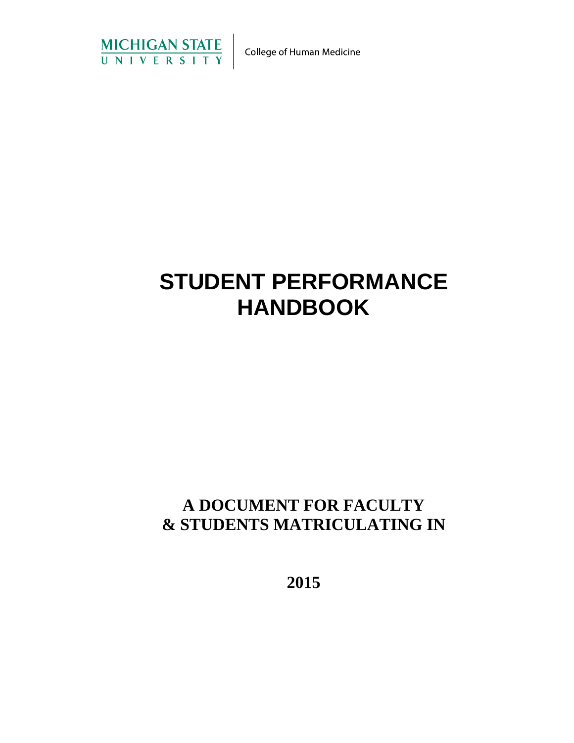

# **STUDENT PERFORMANCE HANDBOOK**

# **A DOCUMENT FOR FACULTY & STUDENTS MATRICULATING IN**

**2015**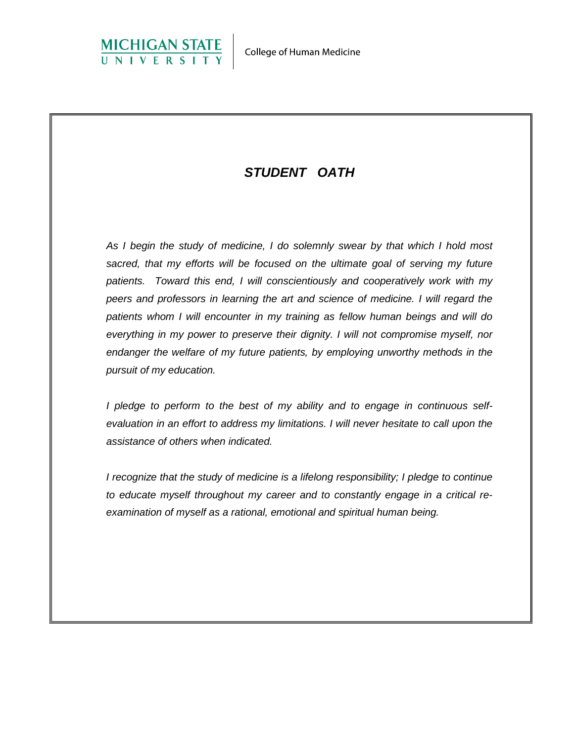

# *STUDENT OATH*

*As I begin the study of medicine, I do solemnly swear by that which I hold most sacred, that my efforts will be focused on the ultimate goal of serving my future patients. Toward this end, I will conscientiously and cooperatively work with my peers and professors in learning the art and science of medicine. I will regard the patients whom I will encounter in my training as fellow human beings and will do everything in my power to preserve their dignity. I will not compromise myself, nor endanger the welfare of my future patients, by employing unworthy methods in the pursuit of my education.*

*I pledge to perform to the best of my ability and to engage in continuous selfevaluation in an effort to address my limitations. I will never hesitate to call upon the assistance of others when indicated.*

*I recognize that the study of medicine is a lifelong responsibility; I pledge to continue to educate myself throughout my career and to constantly engage in a critical reexamination of myself as a rational, emotional and spiritual human being.*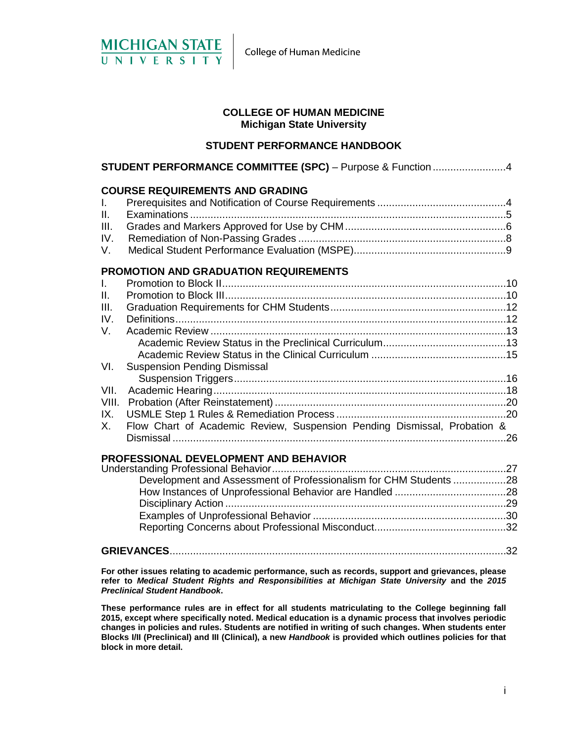

#### **COLLEGE OF HUMAN MEDICINE Michigan State University**

#### **STUDENT PERFORMANCE HANDBOOK**

| <b>STUDENT PERFORMANCE COMMITTEE (SPC)</b> - Purpose & Function 4 |                                                                          |  |
|-------------------------------------------------------------------|--------------------------------------------------------------------------|--|
|                                                                   | <b>COURSE REQUIREMENTS AND GRADING</b>                                   |  |
| $\mathbf{L}$                                                      |                                                                          |  |
| II.                                                               |                                                                          |  |
| III.                                                              |                                                                          |  |
| IV.                                                               |                                                                          |  |
| V.                                                                |                                                                          |  |
|                                                                   | <b>PROMOTION AND GRADUATION REQUIREMENTS</b>                             |  |
| $\mathbf{L}$                                                      |                                                                          |  |
| Ш.                                                                |                                                                          |  |
| III.                                                              |                                                                          |  |
| IV.                                                               |                                                                          |  |
| V.                                                                |                                                                          |  |
|                                                                   |                                                                          |  |
|                                                                   |                                                                          |  |
| VI.                                                               | <b>Suspension Pending Dismissal</b>                                      |  |
|                                                                   |                                                                          |  |
| VII.                                                              |                                                                          |  |
| VIII.                                                             |                                                                          |  |
| IX.                                                               |                                                                          |  |
| Х.                                                                | Flow Chart of Academic Review, Suspension Pending Dismissal, Probation & |  |
|                                                                   | <b>PROFESSIONAL DEVELOPMENT AND BEHAVIOR</b>                             |  |

# Understanding Professional Behavior................................................................................27 Development and Assessment of Professionalism for CHM Students ..................28 How Instances of Unprofessional Behavior are Handled ......................................28 Disciplinary Action ................................................................................................29 Examples of Unprofessional Behavior ..................................................................30 Reporting Concerns about Professional Misconduct.............................................32 **GRIEVANCES**...................................................................................................................32

**For other issues relating to academic performance, such as records, support and grievances, please refer to** *Medical Student Rights and Responsibilities at Michigan State University* **and the** *2015 Preclinical Student Handbook***.**

**These performance rules are in effect for all students matriculating to the College beginning fall 2015, except where specifically noted. Medical education is a dynamic process that involves periodic changes in policies and rules. Students are notified in writing of such changes. When students enter Blocks I/II (Preclinical) and III (Clinical), a new** *Handbook* **is provided which outlines policies for that block in more detail.**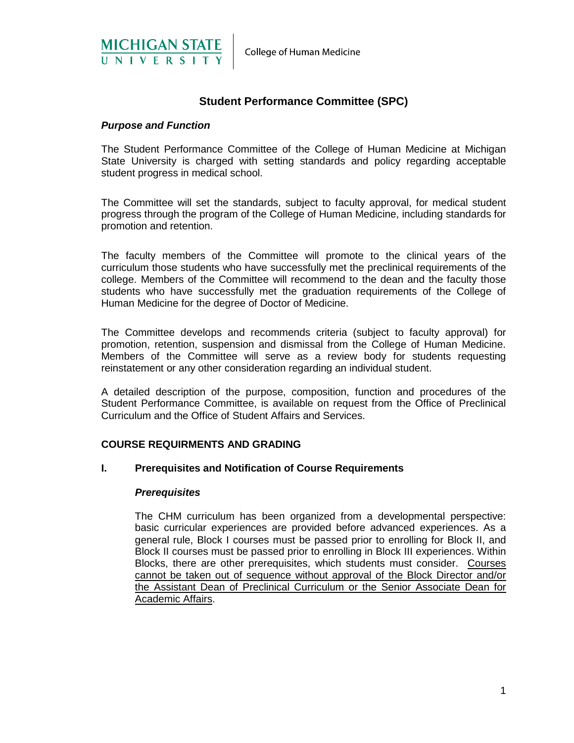



# **Student Performance Committee (SPC)**

## *Purpose and Function*

The Student Performance Committee of the College of Human Medicine at Michigan State University is charged with setting standards and policy regarding acceptable student progress in medical school.

The Committee will set the standards, subject to faculty approval, for medical student progress through the program of the College of Human Medicine, including standards for promotion and retention.

The faculty members of the Committee will promote to the clinical years of the curriculum those students who have successfully met the preclinical requirements of the college. Members of the Committee will recommend to the dean and the faculty those students who have successfully met the graduation requirements of the College of Human Medicine for the degree of Doctor of Medicine.

The Committee develops and recommends criteria (subject to faculty approval) for promotion, retention, suspension and dismissal from the College of Human Medicine. Members of the Committee will serve as a review body for students requesting reinstatement or any other consideration regarding an individual student.

A detailed description of the purpose, composition, function and procedures of the Student Performance Committee, is available on request from the Office of Preclinical Curriculum and the Office of Student Affairs and Services.

#### **COURSE REQUIRMENTS AND GRADING**

#### **I. Prerequisites and Notification of Course Requirements**

#### *Prerequisites*

The CHM curriculum has been organized from a developmental perspective: basic curricular experiences are provided before advanced experiences. As a general rule, Block I courses must be passed prior to enrolling for Block II, and Block II courses must be passed prior to enrolling in Block III experiences. Within Blocks, there are other prerequisites, which students must consider. Courses cannot be taken out of sequence without approval of the Block Director and/or the Assistant Dean of Preclinical Curriculum or the Senior Associate Dean for Academic Affairs.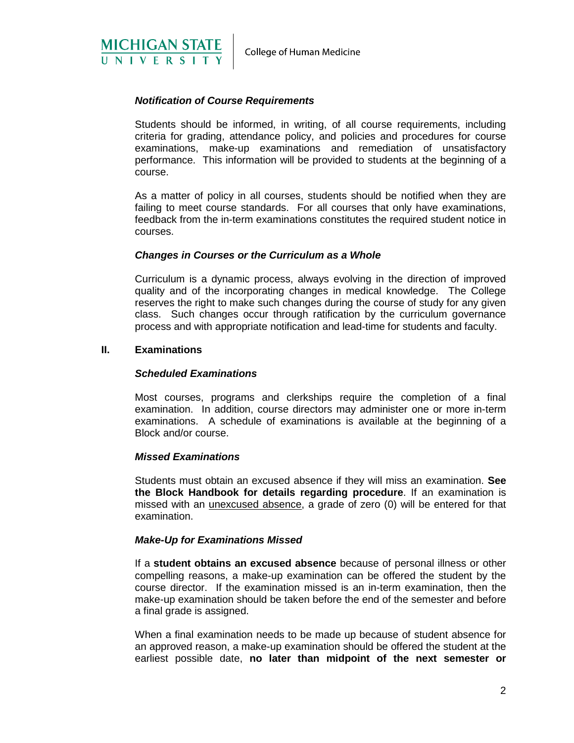

## *Notification of Course Requirements*

Students should be informed, in writing, of all course requirements, including criteria for grading, attendance policy, and policies and procedures for course examinations, make-up examinations and remediation of unsatisfactory performance. This information will be provided to students at the beginning of a course.

As a matter of policy in all courses, students should be notified when they are failing to meet course standards. For all courses that only have examinations, feedback from the in-term examinations constitutes the required student notice in courses.

# *Changes in Courses or the Curriculum as a Whole*

Curriculum is a dynamic process, always evolving in the direction of improved quality and of the incorporating changes in medical knowledge. The College reserves the right to make such changes during the course of study for any given class. Such changes occur through ratification by the curriculum governance process and with appropriate notification and lead-time for students and faculty.

#### **II. Examinations**

#### *Scheduled Examinations*

Most courses, programs and clerkships require the completion of a final examination. In addition, course directors may administer one or more in-term examinations. A schedule of examinations is available at the beginning of a Block and/or course.

#### *Missed Examinations*

Students must obtain an excused absence if they will miss an examination. **See the Block Handbook for details regarding procedure**. If an examination is missed with an unexcused absence, a grade of zero (0) will be entered for that examination.

#### *Make-Up for Examinations Missed*

If a **student obtains an excused absence** because of personal illness or other compelling reasons, a make-up examination can be offered the student by the course director. If the examination missed is an in-term examination, then the make-up examination should be taken before the end of the semester and before a final grade is assigned.

When a final examination needs to be made up because of student absence for an approved reason, a make-up examination should be offered the student at the earliest possible date, **no later than midpoint of the next semester or**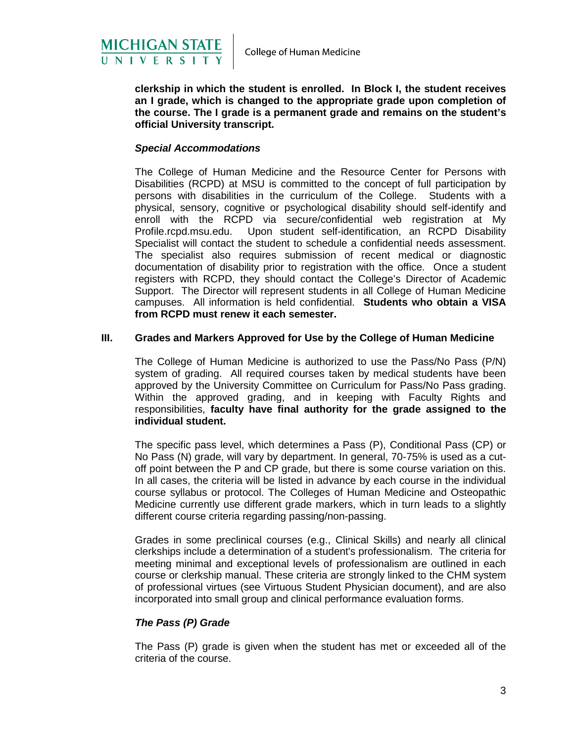

**clerkship in which the student is enrolled. In Block I, the student receives an I grade, which is changed to the appropriate grade upon completion of the course. The I grade is a permanent grade and remains on the student's official University transcript.**

#### *Special Accommodations*

The College of Human Medicine and the Resource Center for Persons with Disabilities (RCPD) at MSU is committed to the concept of full participation by persons with disabilities in the curriculum of the College. Students with a physical, sensory, cognitive or psychological disability should self-identify and enroll with the RCPD via secure/confidential web registration at My Profile.rcpd.msu.edu. Upon student self-identification, an RCPD Disability Specialist will contact the student to schedule a confidential needs assessment. The specialist also requires submission of recent medical or diagnostic documentation of disability prior to registration with the office. Once a student registers with RCPD, they should contact the College's Director of Academic Support. The Director will represent students in all College of Human Medicine campuses. All information is held confidential. **Students who obtain a VISA from RCPD must renew it each semester.**

#### **III. Grades and Markers Approved for Use by the College of Human Medicine**

The College of Human Medicine is authorized to use the Pass/No Pass (P/N) system of grading. All required courses taken by medical students have been approved by the University Committee on Curriculum for Pass/No Pass grading. Within the approved grading, and in keeping with Faculty Rights and responsibilities, **faculty have final authority for the grade assigned to the individual student.**

The specific pass level, which determines a Pass (P), Conditional Pass (CP) or No Pass (N) grade, will vary by department. In general, 70-75% is used as a cutoff point between the P and CP grade, but there is some course variation on this. In all cases, the criteria will be listed in advance by each course in the individual course syllabus or protocol. The Colleges of Human Medicine and Osteopathic Medicine currently use different grade markers, which in turn leads to a slightly different course criteria regarding passing/non-passing.

Grades in some preclinical courses (e.g., Clinical Skills) and nearly all clinical clerkships include a determination of a student's professionalism. The criteria for meeting minimal and exceptional levels of professionalism are outlined in each course or clerkship manual. These criteria are strongly linked to the CHM system of professional virtues (see Virtuous Student Physician document), and are also incorporated into small group and clinical performance evaluation forms.

#### *The Pass (P) Grade*

The Pass (P) grade is given when the student has met or exceeded all of the criteria of the course.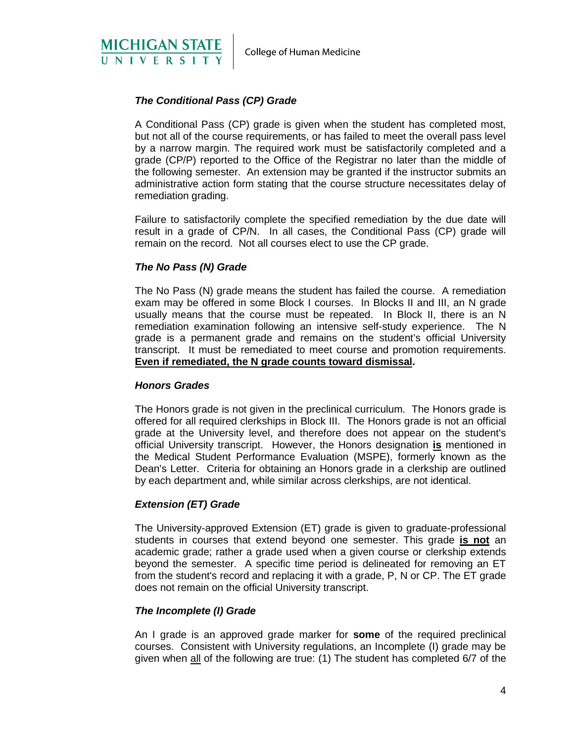

# *The Conditional Pass (CP) Grade*

A Conditional Pass (CP) grade is given when the student has completed most, but not all of the course requirements, or has failed to meet the overall pass level by a narrow margin. The required work must be satisfactorily completed and a grade (CP/P) reported to the Office of the Registrar no later than the middle of the following semester. An extension may be granted if the instructor submits an administrative action form stating that the course structure necessitates delay of remediation grading.

Failure to satisfactorily complete the specified remediation by the due date will result in a grade of CP/N. In all cases, the Conditional Pass (CP) grade will remain on the record. Not all courses elect to use the CP grade.

#### *The No Pass (N) Grade*

The No Pass (N) grade means the student has failed the course. A remediation exam may be offered in some Block I courses. In Blocks II and III, an N grade usually means that the course must be repeated. In Block II, there is an N remediation examination following an intensive self-study experience. The N grade is a permanent grade and remains on the student's official University transcript. It must be remediated to meet course and promotion requirements. **Even if remediated, the N grade counts toward dismissal.**

#### *Honors Grades*

The Honors grade is not given in the preclinical curriculum. The Honors grade is offered for all required clerkships in Block III. The Honors grade is not an official grade at the University level, and therefore does not appear on the student's official University transcript. However, the Honors designation **is** mentioned in the Medical Student Performance Evaluation (MSPE), formerly known as the Dean's Letter. Criteria for obtaining an Honors grade in a clerkship are outlined by each department and, while similar across clerkships, are not identical.

#### *Extension (ET) Grade*

The University-approved Extension (ET) grade is given to graduate-professional students in courses that extend beyond one semester. This grade **is not** an academic grade; rather a grade used when a given course or clerkship extends beyond the semester. A specific time period is delineated for removing an ET from the student's record and replacing it with a grade, P, N or CP. The ET grade does not remain on the official University transcript.

#### *The Incomplete (I) Grade*

An I grade is an approved grade marker for **some** of the required preclinical courses. Consistent with University regulations, an Incomplete (I) grade may be given when all of the following are true: (1) The student has completed 6/7 of the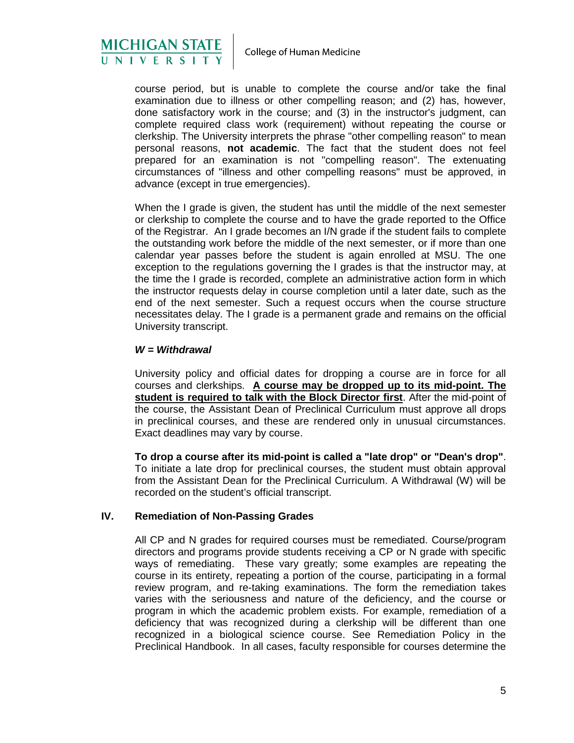

course period, but is unable to complete the course and/or take the final examination due to illness or other compelling reason; and (2) has, however, done satisfactory work in the course; and (3) in the instructor's judgment, can complete required class work (requirement) without repeating the course or clerkship. The University interprets the phrase "other compelling reason" to mean personal reasons, **not academic**. The fact that the student does not feel prepared for an examination is not "compelling reason". The extenuating circumstances of "illness and other compelling reasons" must be approved, in advance (except in true emergencies).

When the I grade is given, the student has until the middle of the next semester or clerkship to complete the course and to have the grade reported to the Office of the Registrar. An I grade becomes an I/N grade if the student fails to complete the outstanding work before the middle of the next semester, or if more than one calendar year passes before the student is again enrolled at MSU. The one exception to the regulations governing the I grades is that the instructor may, at the time the I grade is recorded, complete an administrative action form in which the instructor requests delay in course completion until a later date, such as the end of the next semester. Such a request occurs when the course structure necessitates delay. The I grade is a permanent grade and remains on the official University transcript.

#### *W = Withdrawal*

University policy and official dates for dropping a course are in force for all courses and clerkships. **A course may be dropped up to its mid-point. The student is required to talk with the Block Director first**. After the mid-point of the course, the Assistant Dean of Preclinical Curriculum must approve all drops in preclinical courses, and these are rendered only in unusual circumstances. Exact deadlines may vary by course.

**To drop a course after its mid-point is called a "late drop" or "Dean's drop"**. To initiate a late drop for preclinical courses, the student must obtain approval from the Assistant Dean for the Preclinical Curriculum. A Withdrawal (W) will be recorded on the student's official transcript.

# **IV. Remediation of Non-Passing Grades**

All CP and N grades for required courses must be remediated. Course/program directors and programs provide students receiving a CP or N grade with specific ways of remediating. These vary greatly; some examples are repeating the course in its entirety, repeating a portion of the course, participating in a formal review program, and re-taking examinations. The form the remediation takes varies with the seriousness and nature of the deficiency, and the course or program in which the academic problem exists. For example, remediation of a deficiency that was recognized during a clerkship will be different than one recognized in a biological science course. See Remediation Policy in the Preclinical Handbook. In all cases, faculty responsible for courses determine the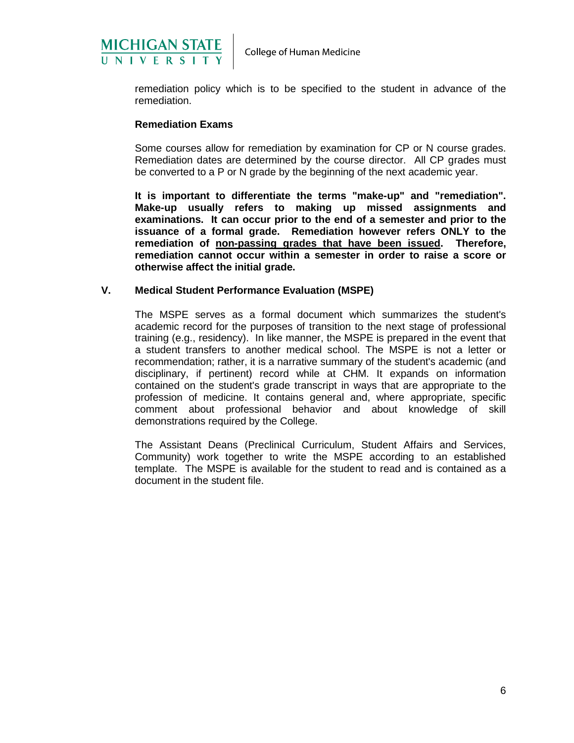

remediation policy which is to be specified to the student in advance of the remediation.

#### **Remediation Exams**

Some courses allow for remediation by examination for CP or N course grades. Remediation dates are determined by the course director. All CP grades must be converted to a P or N grade by the beginning of the next academic year.

**It is important to differentiate the terms "make-up" and "remediation". Make-up usually refers to making up missed assignments and examinations. It can occur prior to the end of a semester and prior to the issuance of a formal grade. Remediation however refers ONLY to the remediation of non-passing grades that have been issued. Therefore, remediation cannot occur within a semester in order to raise a score or otherwise affect the initial grade.**

#### **V. Medical Student Performance Evaluation (MSPE)**

The MSPE serves as a formal document which summarizes the student's academic record for the purposes of transition to the next stage of professional training (e.g., residency). In like manner, the MSPE is prepared in the event that a student transfers to another medical school. The MSPE is not a letter or recommendation; rather, it is a narrative summary of the student's academic (and disciplinary, if pertinent) record while at CHM. It expands on information contained on the student's grade transcript in ways that are appropriate to the profession of medicine. It contains general and, where appropriate, specific comment about professional behavior and about knowledge of skill demonstrations required by the College.

The Assistant Deans (Preclinical Curriculum, Student Affairs and Services, Community) work together to write the MSPE according to an established template. The MSPE is available for the student to read and is contained as a document in the student file.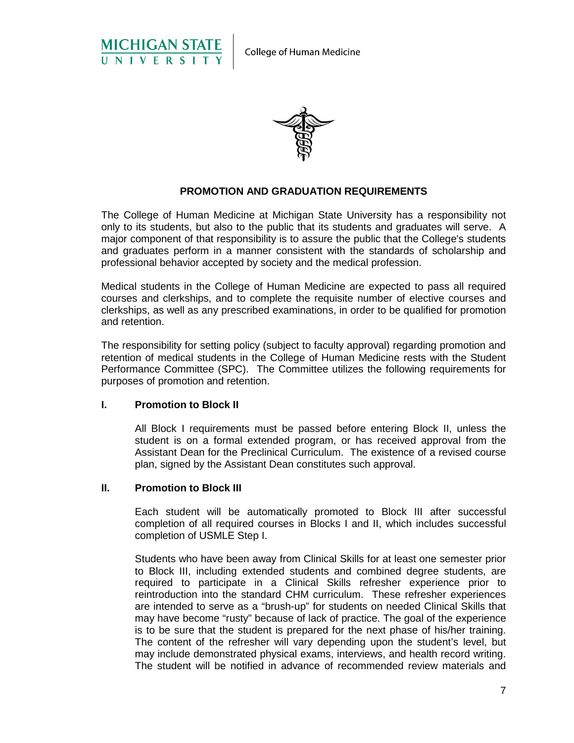



#### **PROMOTION AND GRADUATION REQUIREMENTS**

The College of Human Medicine at Michigan State University has a responsibility not only to its students, but also to the public that its students and graduates will serve. A major component of that responsibility is to assure the public that the College's students and graduates perform in a manner consistent with the standards of scholarship and professional behavior accepted by society and the medical profession.

Medical students in the College of Human Medicine are expected to pass all required courses and clerkships, and to complete the requisite number of elective courses and clerkships, as well as any prescribed examinations, in order to be qualified for promotion and retention.

The responsibility for setting policy (subject to faculty approval) regarding promotion and retention of medical students in the College of Human Medicine rests with the Student Performance Committee (SPC). The Committee utilizes the following requirements for purposes of promotion and retention.

#### **I. Promotion to Block II**

All Block I requirements must be passed before entering Block II, unless the student is on a formal extended program, or has received approval from the Assistant Dean for the Preclinical Curriculum. The existence of a revised course plan, signed by the Assistant Dean constitutes such approval.

#### **II. Promotion to Block III**

Each student will be automatically promoted to Block III after successful completion of all required courses in Blocks I and II, which includes successful completion of USMLE Step I.

Students who have been away from Clinical Skills for at least one semester prior to Block III, including extended students and combined degree students, are required to participate in a Clinical Skills refresher experience prior to reintroduction into the standard CHM curriculum. These refresher experiences are intended to serve as a "brush-up" for students on needed Clinical Skills that may have become "rusty" because of lack of practice. The goal of the experience is to be sure that the student is prepared for the next phase of his/her training. The content of the refresher will vary depending upon the student's level, but may include demonstrated physical exams, interviews, and health record writing. The student will be notified in advance of recommended review materials and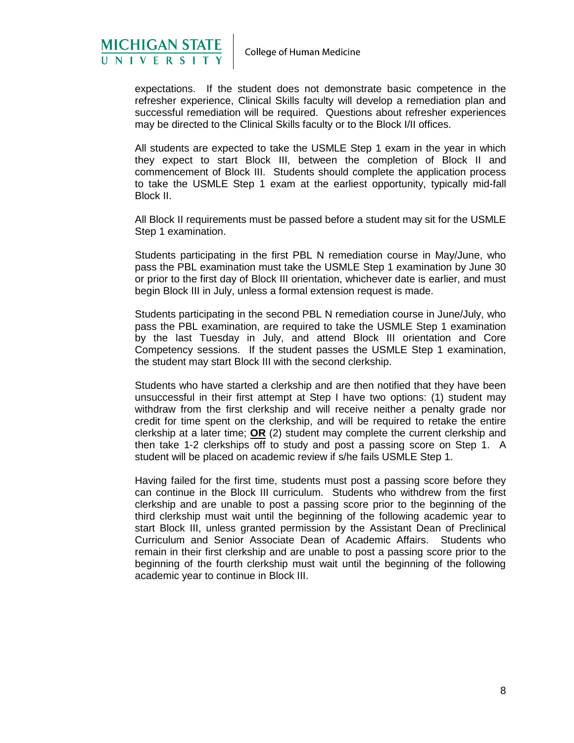

expectations. If the student does not demonstrate basic competence in the refresher experience, Clinical Skills faculty will develop a remediation plan and successful remediation will be required. Questions about refresher experiences may be directed to the Clinical Skills faculty or to the Block I/II offices.

All students are expected to take the USMLE Step 1 exam in the year in which they expect to start Block III, between the completion of Block II and commencement of Block III. Students should complete the application process to take the USMLE Step 1 exam at the earliest opportunity, typically mid-fall Block II.

All Block II requirements must be passed before a student may sit for the USMLE Step 1 examination.

Students participating in the first PBL N remediation course in May/June, who pass the PBL examination must take the USMLE Step 1 examination by June 30 or prior to the first day of Block III orientation, whichever date is earlier, and must begin Block III in July, unless a formal extension request is made.

Students participating in the second PBL N remediation course in June/July, who pass the PBL examination, are required to take the USMLE Step 1 examination by the last Tuesday in July, and attend Block III orientation and Core Competency sessions. If the student passes the USMLE Step 1 examination, the student may start Block III with the second clerkship.

Students who have started a clerkship and are then notified that they have been unsuccessful in their first attempt at Step I have two options: (1) student may withdraw from the first clerkship and will receive neither a penalty grade nor credit for time spent on the clerkship, and will be required to retake the entire clerkship at a later time; **OR** (2) student may complete the current clerkship and then take 1-2 clerkships off to study and post a passing score on Step 1. A student will be placed on academic review if s/he fails USMLE Step 1.

Having failed for the first time, students must post a passing score before they can continue in the Block III curriculum. Students who withdrew from the first clerkship and are unable to post a passing score prior to the beginning of the third clerkship must wait until the beginning of the following academic year to start Block III, unless granted permission by the Assistant Dean of Preclinical Curriculum and Senior Associate Dean of Academic Affairs. Students who remain in their first clerkship and are unable to post a passing score prior to the beginning of the fourth clerkship must wait until the beginning of the following academic year to continue in Block III.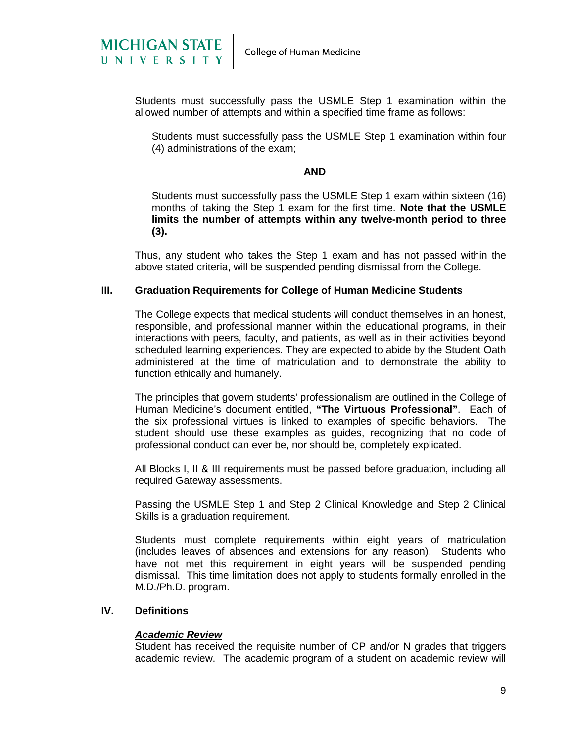

Students must successfully pass the USMLE Step 1 examination within the allowed number of attempts and within a specified time frame as follows:

Students must successfully pass the USMLE Step 1 examination within four (4) administrations of the exam;

#### **AND**

Students must successfully pass the USMLE Step 1 exam within sixteen (16) months of taking the Step 1 exam for the first time. **Note that the USMLE limits the number of attempts within any twelve-month period to three (3).**

Thus, any student who takes the Step 1 exam and has not passed within the above stated criteria, will be suspended pending dismissal from the College.

#### **III. Graduation Requirements for College of Human Medicine Students**

The College expects that medical students will conduct themselves in an honest, responsible, and professional manner within the educational programs, in their interactions with peers, faculty, and patients, as well as in their activities beyond scheduled learning experiences. They are expected to abide by the Student Oath administered at the time of matriculation and to demonstrate the ability to function ethically and humanely.

The principles that govern students' professionalism are outlined in the College of Human Medicine's document entitled, **"The Virtuous Professional"**. Each of the six professional virtues is linked to examples of specific behaviors. The student should use these examples as guides, recognizing that no code of professional conduct can ever be, nor should be, completely explicated.

All Blocks I, II & III requirements must be passed before graduation, including all required Gateway assessments.

Passing the USMLE Step 1 and Step 2 Clinical Knowledge and Step 2 Clinical Skills is a graduation requirement.

Students must complete requirements within eight years of matriculation (includes leaves of absences and extensions for any reason). Students who have not met this requirement in eight years will be suspended pending dismissal. This time limitation does not apply to students formally enrolled in the M.D./Ph.D. program.

#### **IV. Definitions**

#### *Academic Review*

Student has received the requisite number of CP and/or N grades that triggers academic review. The academic program of a student on academic review will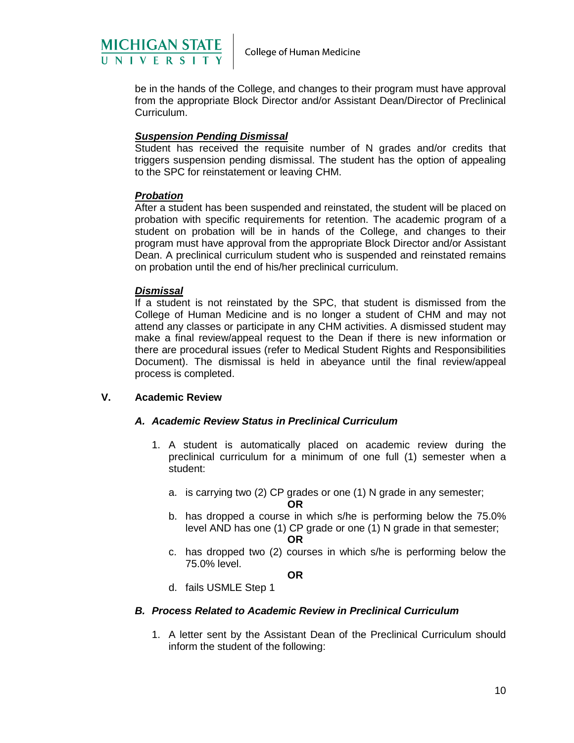

be in the hands of the College, and changes to their program must have approval from the appropriate Block Director and/or Assistant Dean/Director of Preclinical Curriculum.

#### *Suspension Pending Dismissal*

Student has received the requisite number of N grades and/or credits that triggers suspension pending dismissal. The student has the option of appealing to the SPC for reinstatement or leaving CHM.

#### *Probation*

After a student has been suspended and reinstated, the student will be placed on probation with specific requirements for retention. The academic program of a student on probation will be in hands of the College, and changes to their program must have approval from the appropriate Block Director and/or Assistant Dean. A preclinical curriculum student who is suspended and reinstated remains on probation until the end of his/her preclinical curriculum.

#### *Dismissal*

If a student is not reinstated by the SPC, that student is dismissed from the College of Human Medicine and is no longer a student of CHM and may not attend any classes or participate in any CHM activities. A dismissed student may make a final review/appeal request to the Dean if there is new information or there are procedural issues (refer to Medical Student Rights and Responsibilities Document). The dismissal is held in abeyance until the final review/appeal process is completed.

#### **V. Academic Review**

#### *A. Academic Review Status in Preclinical Curriculum*

- 1. A student is automatically placed on academic review during the preclinical curriculum for a minimum of one full (1) semester when a student:
	- a. is carrying two (2) CP grades or one (1) N grade in any semester;

**OR**

- b. has dropped a course in which s/he is performing below the 75.0% level AND has one (1) CP grade or one (1) N grade in that semester;
	- **OR**
- c. has dropped two (2) courses in which s/he is performing below the 75.0% level.

**OR**

d. fails USMLE Step 1

#### *B. Process Related to Academic Review in Preclinical Curriculum*

1. A letter sent by the Assistant Dean of the Preclinical Curriculum should inform the student of the following: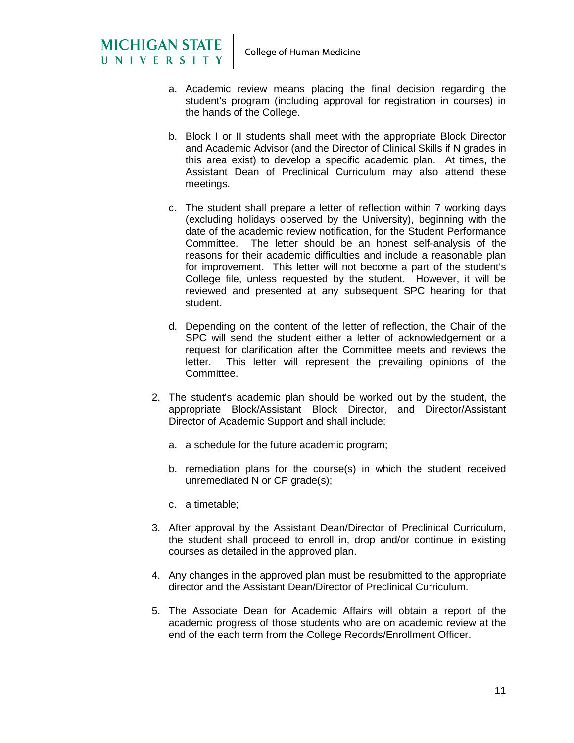

- a. Academic review means placing the final decision regarding the student's program (including approval for registration in courses) in the hands of the College.
- b. Block I or II students shall meet with the appropriate Block Director and Academic Advisor (and the Director of Clinical Skills if N grades in this area exist) to develop a specific academic plan. At times, the Assistant Dean of Preclinical Curriculum may also attend these meetings.
- c. The student shall prepare a letter of reflection within 7 working days (excluding holidays observed by the University), beginning with the date of the academic review notification, for the Student Performance Committee. The letter should be an honest self-analysis of the reasons for their academic difficulties and include a reasonable plan for improvement. This letter will not become a part of the student's College file, unless requested by the student. However, it will be reviewed and presented at any subsequent SPC hearing for that student.
- d. Depending on the content of the letter of reflection, the Chair of the SPC will send the student either a letter of acknowledgement or a request for clarification after the Committee meets and reviews the letter. This letter will represent the prevailing opinions of the This letter will represent the prevailing opinions of the Committee.
- 2. The student's academic plan should be worked out by the student, the appropriate Block/Assistant Block Director, and Director/Assistant Director of Academic Support and shall include:
	- a. a schedule for the future academic program;
	- b. remediation plans for the course(s) in which the student received unremediated N or CP grade(s);
	- c. a timetable;
- 3. After approval by the Assistant Dean/Director of Preclinical Curriculum, the student shall proceed to enroll in, drop and/or continue in existing courses as detailed in the approved plan.
- 4. Any changes in the approved plan must be resubmitted to the appropriate director and the Assistant Dean/Director of Preclinical Curriculum.
- 5. The Associate Dean for Academic Affairs will obtain a report of the academic progress of those students who are on academic review at the end of the each term from the College Records/Enrollment Officer.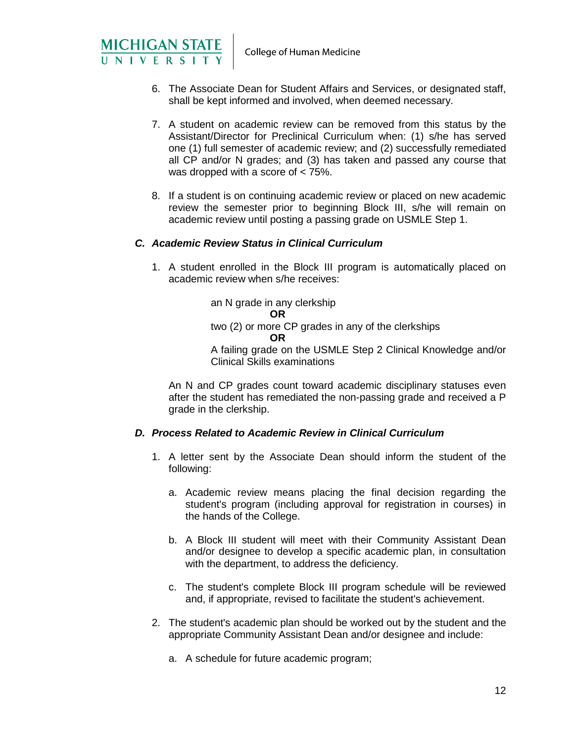

- 6. The Associate Dean for Student Affairs and Services, or designated staff, shall be kept informed and involved, when deemed necessary.
- 7. A student on academic review can be removed from this status by the Assistant/Director for Preclinical Curriculum when: (1) s/he has served one (1) full semester of academic review; and (2) successfully remediated all CP and/or N grades; and (3) has taken and passed any course that was dropped with a score of < 75%.
- 8. If a student is on continuing academic review or placed on new academic review the semester prior to beginning Block III, s/he will remain on academic review until posting a passing grade on USMLE Step 1.

# *C. Academic Review Status in Clinical Curriculum*

1. A student enrolled in the Block III program is automatically placed on academic review when s/he receives:

> an N grade in any clerkship **OR** two (2) or more CP grades in any of the clerkships **OR**

A failing grade on the USMLE Step 2 Clinical Knowledge and/or Clinical Skills examinations

An N and CP grades count toward academic disciplinary statuses even after the student has remediated the non-passing grade and received a P grade in the clerkship.

#### *D. Process Related to Academic Review in Clinical Curriculum*

- 1. A letter sent by the Associate Dean should inform the student of the following:
	- a. Academic review means placing the final decision regarding the student's program (including approval for registration in courses) in the hands of the College.
	- b. A Block III student will meet with their Community Assistant Dean and/or designee to develop a specific academic plan, in consultation with the department, to address the deficiency.
	- c. The student's complete Block III program schedule will be reviewed and, if appropriate, revised to facilitate the student's achievement.
- 2. The student's academic plan should be worked out by the student and the appropriate Community Assistant Dean and/or designee and include:
	- a. A schedule for future academic program;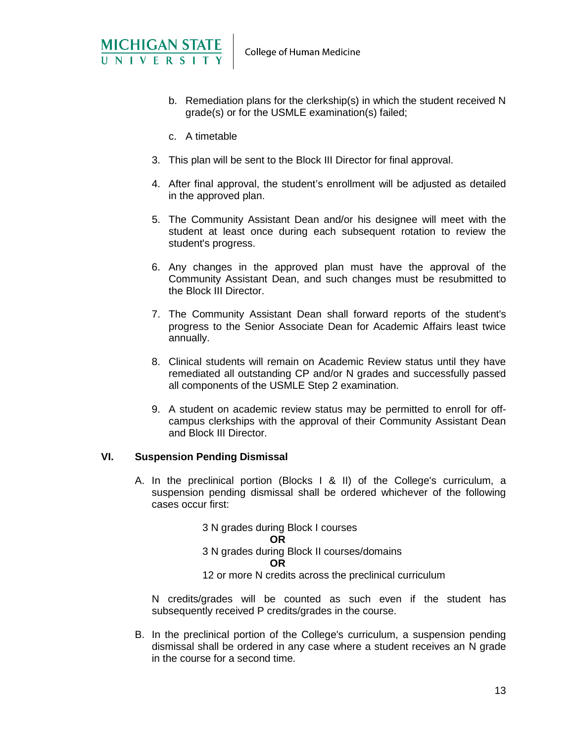

- b. Remediation plans for the clerkship(s) in which the student received N grade(s) or for the USMLE examination(s) failed;
- c. A timetable
- 3. This plan will be sent to the Block III Director for final approval.
- 4. After final approval, the student's enrollment will be adjusted as detailed in the approved plan.
- 5. The Community Assistant Dean and/or his designee will meet with the student at least once during each subsequent rotation to review the student's progress.
- 6. Any changes in the approved plan must have the approval of the Community Assistant Dean, and such changes must be resubmitted to the Block III Director.
- 7. The Community Assistant Dean shall forward reports of the student's progress to the Senior Associate Dean for Academic Affairs least twice annually.
- 8. Clinical students will remain on Academic Review status until they have remediated all outstanding CP and/or N grades and successfully passed all components of the USMLE Step 2 examination.
- 9. A student on academic review status may be permitted to enroll for offcampus clerkships with the approval of their Community Assistant Dean and Block III Director.

#### **VI. Suspension Pending Dismissal**

A. In the preclinical portion (Blocks I & II) of the College's curriculum, a suspension pending dismissal shall be ordered whichever of the following cases occur first:

> 3 N grades during Block I courses **OR** 3 N grades during Block II courses/domains **OR** 12 or more N credits across the preclinical curriculum

N credits/grades will be counted as such even if the student has subsequently received P credits/grades in the course.

B. In the preclinical portion of the College's curriculum, a suspension pending dismissal shall be ordered in any case where a student receives an N grade in the course for a second time.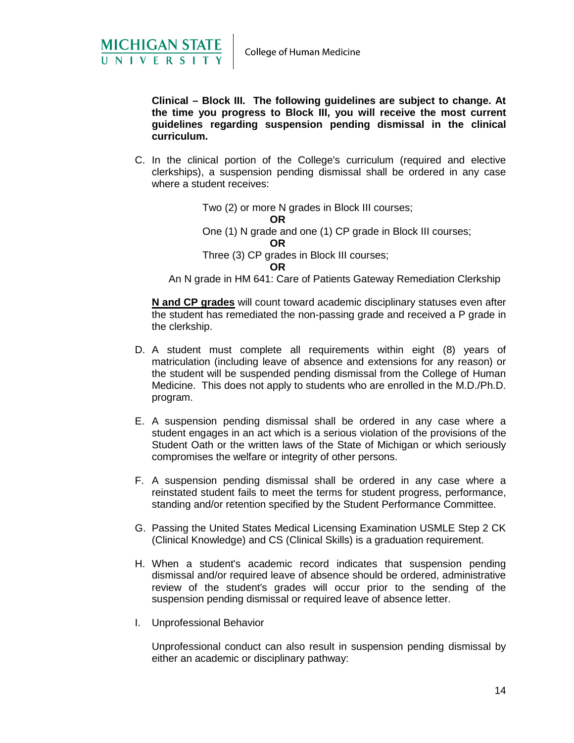

**Clinical – Block III. The following guidelines are subject to change. At the time you progress to Block III, you will receive the most current guidelines regarding suspension pending dismissal in the clinical curriculum.**

C. In the clinical portion of the College's curriculum (required and elective clerkships), a suspension pending dismissal shall be ordered in any case where a student receives:

> Two (2) or more N grades in Block III courses; **OR** One (1) N grade and one (1) CP grade in Block III courses; **OR** Three (3) CP grades in Block III courses; **OR**

An N grade in HM 641: Care of Patients Gateway Remediation Clerkship

**N and CP grades** will count toward academic disciplinary statuses even after the student has remediated the non-passing grade and received a P grade in the clerkship.

- D. A student must complete all requirements within eight (8) years of matriculation (including leave of absence and extensions for any reason) or the student will be suspended pending dismissal from the College of Human Medicine. This does not apply to students who are enrolled in the M.D./Ph.D. program.
- E. A suspension pending dismissal shall be ordered in any case where a student engages in an act which is a serious violation of the provisions of the Student Oath or the written laws of the State of Michigan or which seriously compromises the welfare or integrity of other persons.
- F. A suspension pending dismissal shall be ordered in any case where a reinstated student fails to meet the terms for student progress, performance, standing and/or retention specified by the Student Performance Committee.
- G. Passing the United States Medical Licensing Examination USMLE Step 2 CK (Clinical Knowledge) and CS (Clinical Skills) is a graduation requirement.
- H. When a student's academic record indicates that suspension pending dismissal and/or required leave of absence should be ordered, administrative review of the student's grades will occur prior to the sending of the suspension pending dismissal or required leave of absence letter.
- I. Unprofessional Behavior

Unprofessional conduct can also result in suspension pending dismissal by either an academic or disciplinary pathway: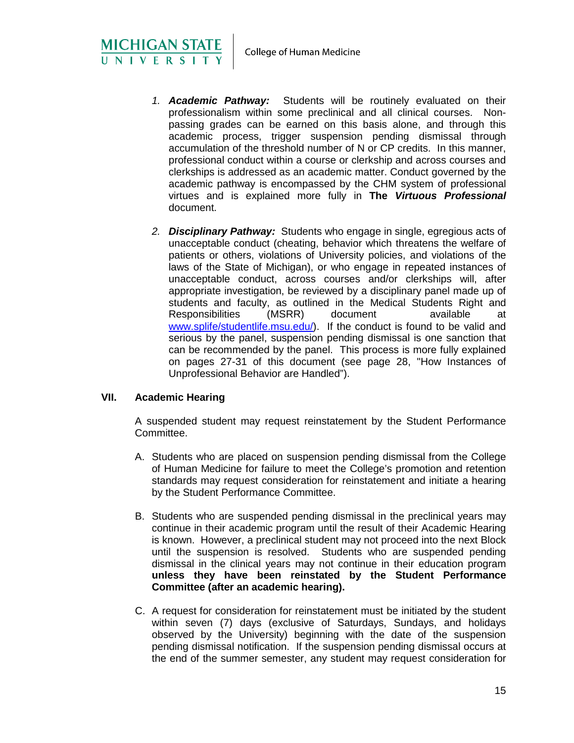- *1. Academic Pathway:* Students will be routinely evaluated on their professionalism within some preclinical and all clinical courses. Nonpassing grades can be earned on this basis alone, and through this academic process, trigger suspension pending dismissal through accumulation of the threshold number of N or CP credits. In this manner, professional conduct within a course or clerkship and across courses and clerkships is addressed as an academic matter. Conduct governed by the academic pathway is encompassed by the CHM system of professional virtues and is explained more fully in **The** *Virtuous Professional* document.
- *2. Disciplinary Pathway:* Students who engage in single, egregious acts of unacceptable conduct (cheating, behavior which threatens the welfare of patients or others, violations of University policies, and violations of the laws of the State of Michigan), or who engage in repeated instances of unacceptable conduct, across courses and/or clerkships will, after appropriate investigation, be reviewed by a disciplinary panel made up of students and faculty, as outlined in the Medical Students Right and Responsibilities (MSRR) document available at [www.splife/studentlife.msu.edu/\)](http://www.splife/studentlife.msu.edu/). If the conduct is found to be valid and serious by the panel, suspension pending dismissal is one sanction that can be recommended by the panel. This process is more fully explained on pages 27-31 of this document (see page 28, "How Instances of Unprofessional Behavior are Handled").

# **VII. Academic Hearing**

MICHIGAN STATE

A suspended student may request reinstatement by the Student Performance Committee.

- A. Students who are placed on suspension pending dismissal from the College of Human Medicine for failure to meet the College's promotion and retention standards may request consideration for reinstatement and initiate a hearing by the Student Performance Committee.
- B. Students who are suspended pending dismissal in the preclinical years may continue in their academic program until the result of their Academic Hearing is known. However, a preclinical student may not proceed into the next Block until the suspension is resolved. Students who are suspended pending dismissal in the clinical years may not continue in their education program **unless they have been reinstated by the Student Performance Committee (after an academic hearing).**
- C. A request for consideration for reinstatement must be initiated by the student within seven (7) days (exclusive of Saturdays, Sundays, and holidays observed by the University) beginning with the date of the suspension pending dismissal notification. If the suspension pending dismissal occurs at the end of the summer semester, any student may request consideration for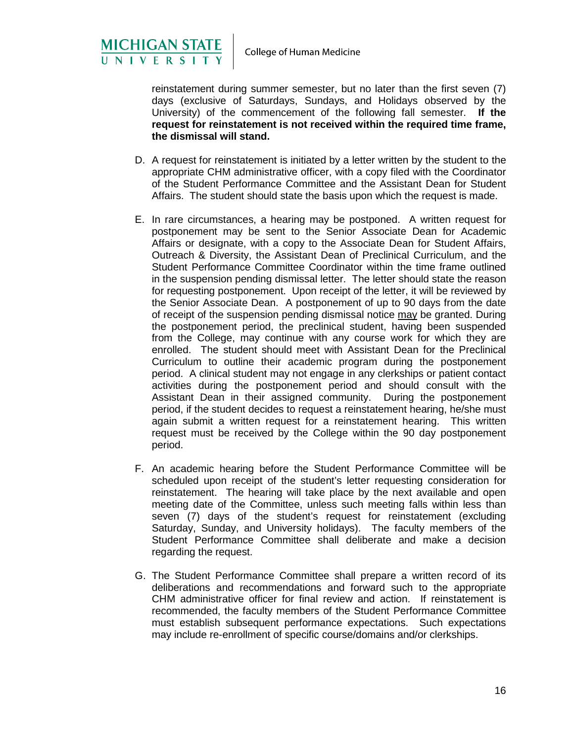

MICHIGAN STATE

reinstatement during summer semester, but no later than the first seven (7) days (exclusive of Saturdays, Sundays, and Holidays observed by the University) of the commencement of the following fall semester. **If the request for reinstatement is not received within the required time frame, the dismissal will stand.**

- D. A request for reinstatement is initiated by a letter written by the student to the appropriate CHM administrative officer, with a copy filed with the Coordinator of the Student Performance Committee and the Assistant Dean for Student Affairs. The student should state the basis upon which the request is made.
- E. In rare circumstances, a hearing may be postponed. A written request for postponement may be sent to the Senior Associate Dean for Academic Affairs or designate, with a copy to the Associate Dean for Student Affairs, Outreach & Diversity, the Assistant Dean of Preclinical Curriculum, and the Student Performance Committee Coordinator within the time frame outlined in the suspension pending dismissal letter. The letter should state the reason for requesting postponement. Upon receipt of the letter, it will be reviewed by the Senior Associate Dean. A postponement of up to 90 days from the date of receipt of the suspension pending dismissal notice may be granted. During the postponement period, the preclinical student, having been suspended from the College, may continue with any course work for which they are enrolled. The student should meet with Assistant Dean for the Preclinical Curriculum to outline their academic program during the postponement period. A clinical student may not engage in any clerkships or patient contact activities during the postponement period and should consult with the Assistant Dean in their assigned community. During the postponement period, if the student decides to request a reinstatement hearing, he/she must again submit a written request for a reinstatement hearing. This written request must be received by the College within the 90 day postponement period.
- F. An academic hearing before the Student Performance Committee will be scheduled upon receipt of the student's letter requesting consideration for reinstatement. The hearing will take place by the next available and open meeting date of the Committee, unless such meeting falls within less than seven (7) days of the student's request for reinstatement (excluding Saturday, Sunday, and University holidays). The faculty members of the Student Performance Committee shall deliberate and make a decision regarding the request.
- G. The Student Performance Committee shall prepare a written record of its deliberations and recommendations and forward such to the appropriate CHM administrative officer for final review and action. If reinstatement is recommended, the faculty members of the Student Performance Committee must establish subsequent performance expectations. Such expectations may include re-enrollment of specific course/domains and/or clerkships.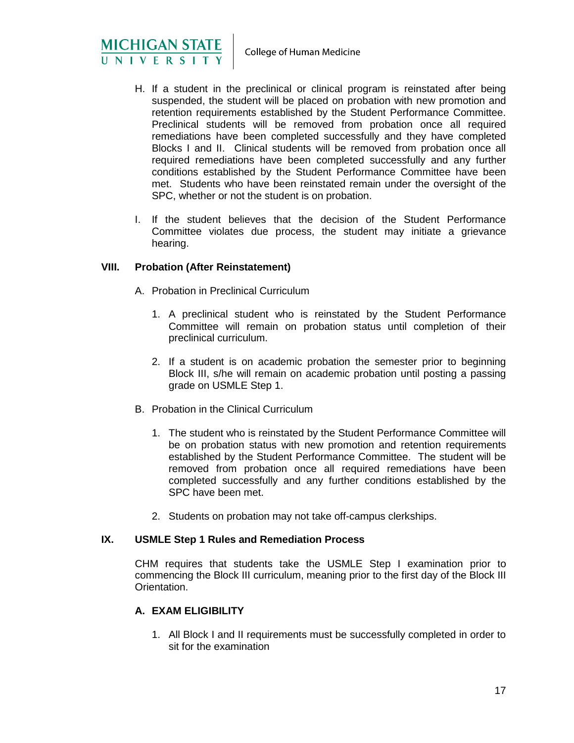

- H. If a student in the preclinical or clinical program is reinstated after being suspended, the student will be placed on probation with new promotion and retention requirements established by the Student Performance Committee. Preclinical students will be removed from probation once all required remediations have been completed successfully and they have completed Blocks I and II. Clinical students will be removed from probation once all required remediations have been completed successfully and any further conditions established by the Student Performance Committee have been met. Students who have been reinstated remain under the oversight of the SPC, whether or not the student is on probation.
- I. If the student believes that the decision of the Student Performance Committee violates due process, the student may initiate a grievance hearing.

#### **VIII. Probation (After Reinstatement)**

- A. Probation in Preclinical Curriculum
	- 1. A preclinical student who is reinstated by the Student Performance Committee will remain on probation status until completion of their preclinical curriculum.
	- 2. If a student is on academic probation the semester prior to beginning Block III, s/he will remain on academic probation until posting a passing grade on USMLE Step 1.
- B. Probation in the Clinical Curriculum
	- 1. The student who is reinstated by the Student Performance Committee will be on probation status with new promotion and retention requirements established by the Student Performance Committee. The student will be removed from probation once all required remediations have been completed successfully and any further conditions established by the SPC have been met.
	- 2. Students on probation may not take off-campus clerkships.

#### **IX. USMLE Step 1 Rules and Remediation Process**

CHM requires that students take the USMLE Step I examination prior to commencing the Block III curriculum, meaning prior to the first day of the Block III Orientation.

# **A. EXAM ELIGIBILITY**

1. All Block I and II requirements must be successfully completed in order to sit for the examination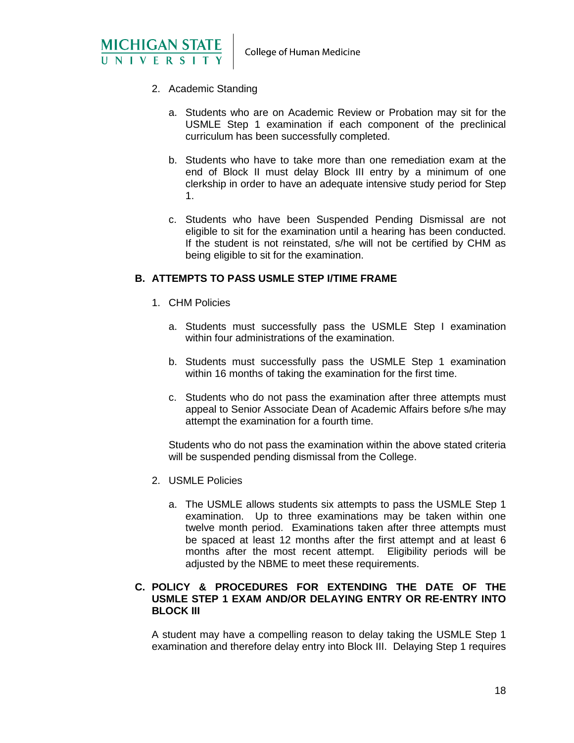

- 2. Academic Standing
	- a. Students who are on Academic Review or Probation may sit for the USMLE Step 1 examination if each component of the preclinical curriculum has been successfully completed.
	- b. Students who have to take more than one remediation exam at the end of Block II must delay Block III entry by a minimum of one clerkship in order to have an adequate intensive study period for Step 1.
	- c. Students who have been Suspended Pending Dismissal are not eligible to sit for the examination until a hearing has been conducted. If the student is not reinstated, s/he will not be certified by CHM as being eligible to sit for the examination.

#### **B. ATTEMPTS TO PASS USMLE STEP I/TIME FRAME**

- 1. CHM Policies
	- a. Students must successfully pass the USMLE Step I examination within four administrations of the examination.
	- b. Students must successfully pass the USMLE Step 1 examination within 16 months of taking the examination for the first time.
	- c. Students who do not pass the examination after three attempts must appeal to Senior Associate Dean of Academic Affairs before s/he may attempt the examination for a fourth time.

Students who do not pass the examination within the above stated criteria will be suspended pending dismissal from the College.

- 2. USMLE Policies
	- a. The USMLE allows students six attempts to pass the USMLE Step 1 examination. Up to three examinations may be taken within one twelve month period. Examinations taken after three attempts must be spaced at least 12 months after the first attempt and at least 6 months after the most recent attempt. Eligibility periods will be adjusted by the NBME to meet these requirements.

#### **C. POLICY & PROCEDURES FOR EXTENDING THE DATE OF THE USMLE STEP 1 EXAM AND/OR DELAYING ENTRY OR RE-ENTRY INTO BLOCK III**

A student may have a compelling reason to delay taking the USMLE Step 1 examination and therefore delay entry into Block III. Delaying Step 1 requires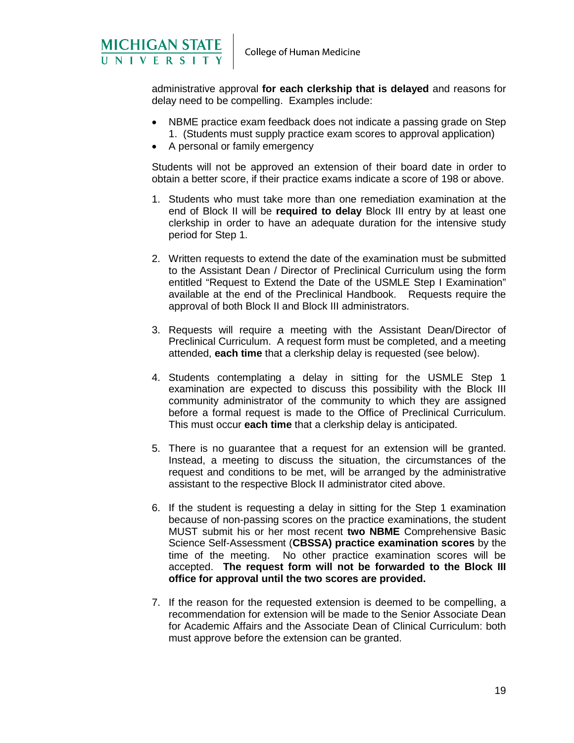

administrative approval **for each clerkship that is delayed** and reasons for delay need to be compelling. Examples include:

- NBME practice exam feedback does not indicate a passing grade on Step 1. (Students must supply practice exam scores to approval application)
- A personal or family emergency

Students will not be approved an extension of their board date in order to obtain a better score, if their practice exams indicate a score of 198 or above.

- 1. Students who must take more than one remediation examination at the end of Block II will be **required to delay** Block III entry by at least one clerkship in order to have an adequate duration for the intensive study period for Step 1.
- 2. Written requests to extend the date of the examination must be submitted to the Assistant Dean / Director of Preclinical Curriculum using the form entitled "Request to Extend the Date of the USMLE Step I Examination" available at the end of the Preclinical Handbook. Requests require the approval of both Block II and Block III administrators.
- 3. Requests will require a meeting with the Assistant Dean/Director of Preclinical Curriculum. A request form must be completed, and a meeting attended, **each time** that a clerkship delay is requested (see below).
- 4. Students contemplating a delay in sitting for the USMLE Step 1 examination are expected to discuss this possibility with the Block III community administrator of the community to which they are assigned before a formal request is made to the Office of Preclinical Curriculum. This must occur **each time** that a clerkship delay is anticipated.
- 5. There is no guarantee that a request for an extension will be granted. Instead, a meeting to discuss the situation, the circumstances of the request and conditions to be met, will be arranged by the administrative assistant to the respective Block II administrator cited above.
- 6. If the student is requesting a delay in sitting for the Step 1 examination because of non-passing scores on the practice examinations, the student MUST submit his or her most recent **two NBME** Comprehensive Basic Science Self-Assessment (**CBSSA) practice examination scores** by the time of the meeting. No other practice examination scores will be accepted. **The request form will not be forwarded to the Block III office for approval until the two scores are provided.**
- 7. If the reason for the requested extension is deemed to be compelling, a recommendation for extension will be made to the Senior Associate Dean for Academic Affairs and the Associate Dean of Clinical Curriculum: both must approve before the extension can be granted.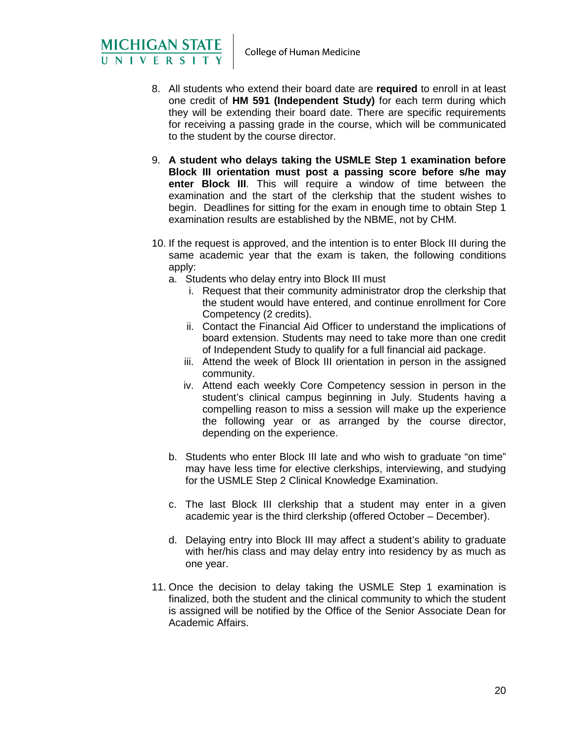

- 8. All students who extend their board date are **required** to enroll in at least one credit of **HM 591 (Independent Study)** for each term during which they will be extending their board date. There are specific requirements for receiving a passing grade in the course, which will be communicated to the student by the course director.
- 9. **A student who delays taking the USMLE Step 1 examination before Block III orientation must post a passing score before s/he may enter Block III**. This will require a window of time between the examination and the start of the clerkship that the student wishes to begin. Deadlines for sitting for the exam in enough time to obtain Step 1 examination results are established by the NBME, not by CHM.
- 10. If the request is approved, and the intention is to enter Block III during the same academic year that the exam is taken, the following conditions apply:
	- a. Students who delay entry into Block III must
		- i. Request that their community administrator drop the clerkship that the student would have entered, and continue enrollment for Core Competency (2 credits).
		- ii. Contact the Financial Aid Officer to understand the implications of board extension. Students may need to take more than one credit of Independent Study to qualify for a full financial aid package.
		- iii. Attend the week of Block III orientation in person in the assigned community.
		- iv. Attend each weekly Core Competency session in person in the student's clinical campus beginning in July. Students having a compelling reason to miss a session will make up the experience the following year or as arranged by the course director, depending on the experience.
	- b. Students who enter Block III late and who wish to graduate "on time" may have less time for elective clerkships, interviewing, and studying for the USMLE Step 2 Clinical Knowledge Examination.
	- c. The last Block III clerkship that a student may enter in a given academic year is the third clerkship (offered October – December).
	- d. Delaying entry into Block III may affect a student's ability to graduate with her/his class and may delay entry into residency by as much as one year.
- 11. Once the decision to delay taking the USMLE Step 1 examination is finalized, both the student and the clinical community to which the student is assigned will be notified by the Office of the Senior Associate Dean for Academic Affairs.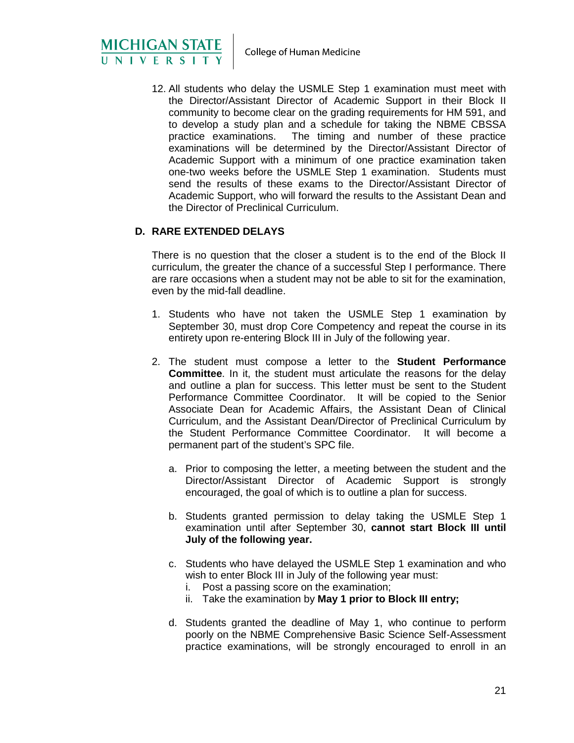MICHIGAN STATE<br>UNIVERSITY

12. All students who delay the USMLE Step 1 examination must meet with the Director/Assistant Director of Academic Support in their Block II community to become clear on the grading requirements for HM 591, and to develop a study plan and a schedule for taking the NBME CBSSA practice examinations. The timing and number of these practice examinations will be determined by the Director/Assistant Director of Academic Support with a minimum of one practice examination taken one-two weeks before the USMLE Step 1 examination. Students must send the results of these exams to the Director/Assistant Director of Academic Support, who will forward the results to the Assistant Dean and the Director of Preclinical Curriculum.

# **D. RARE EXTENDED DELAYS**

There is no question that the closer a student is to the end of the Block II curriculum, the greater the chance of a successful Step I performance. There are rare occasions when a student may not be able to sit for the examination, even by the mid-fall deadline.

- 1. Students who have not taken the USMLE Step 1 examination by September 30, must drop Core Competency and repeat the course in its entirety upon re-entering Block III in July of the following year.
- 2. The student must compose a letter to the **Student Performance Committee**. In it, the student must articulate the reasons for the delay and outline a plan for success. This letter must be sent to the Student Performance Committee Coordinator. It will be copied to the Senior Associate Dean for Academic Affairs, the Assistant Dean of Clinical Curriculum, and the Assistant Dean/Director of Preclinical Curriculum by the Student Performance Committee Coordinator. It will become a permanent part of the student's SPC file.
	- a. Prior to composing the letter, a meeting between the student and the Director/Assistant Director of Academic Support is strongly encouraged, the goal of which is to outline a plan for success.
	- b. Students granted permission to delay taking the USMLE Step 1 examination until after September 30, **cannot start Block III until July of the following year.**
	- c. Students who have delayed the USMLE Step 1 examination and who wish to enter Block III in July of the following year must:
		- i. Post a passing score on the examination;
		- ii. Take the examination by **May 1 prior to Block III entry;**
	- d. Students granted the deadline of May 1, who continue to perform poorly on the NBME Comprehensive Basic Science Self-Assessment practice examinations, will be strongly encouraged to enroll in an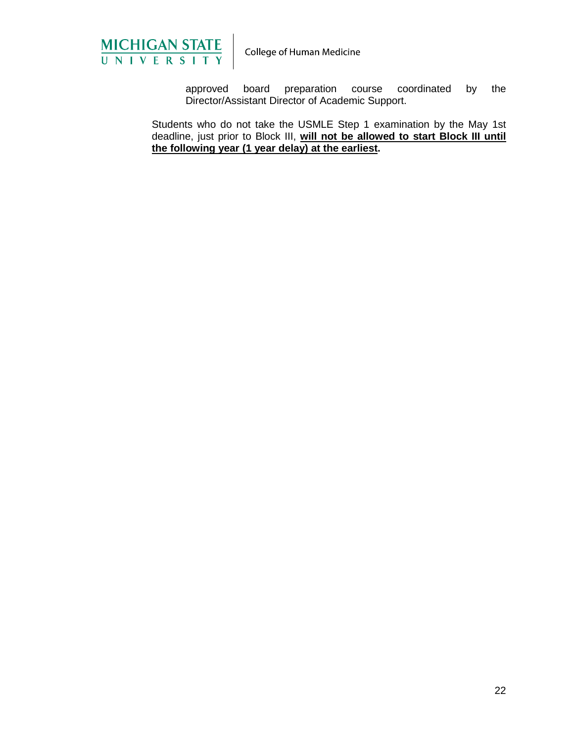

approved board preparation course coordinated by the Director/Assistant Director of Academic Support.

Students who do not take the USMLE Step 1 examination by the May 1st deadline, just prior to Block III, **will not be allowed to start Block III until the following year (1 year delay) at the earliest.**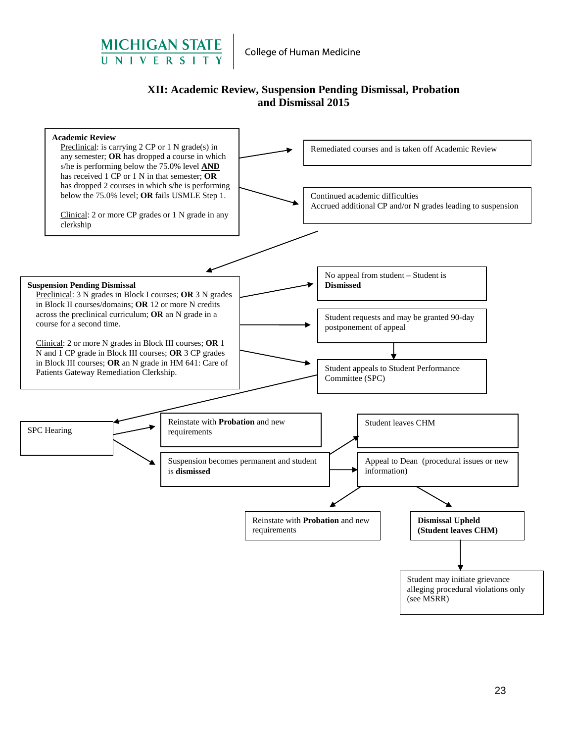

# **XII: Academic Review, Suspension Pending Dismissal, Probation and Dismissal 2015**

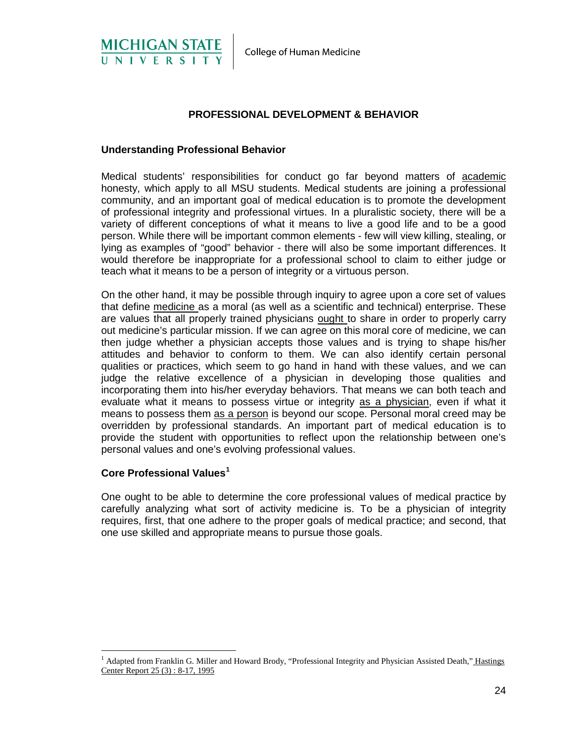

# **PROFESSIONAL DEVELOPMENT & BEHAVIOR**

#### **Understanding Professional Behavior**

Medical students' responsibilities for conduct go far beyond matters of academic honesty, which apply to all MSU students. Medical students are joining a professional community, and an important goal of medical education is to promote the development of professional integrity and professional virtues. In a pluralistic society, there will be a variety of different conceptions of what it means to live a good life and to be a good person. While there will be important common elements - few will view killing, stealing, or lying as examples of "good" behavior - there will also be some important differences. It would therefore be inappropriate for a professional school to claim to either judge or teach what it means to be a person of integrity or a virtuous person.

On the other hand, it may be possible through inquiry to agree upon a core set of values that define medicine as a moral (as well as a scientific and technical) enterprise. These are values that all properly trained physicians ought to share in order to properly carry out medicine's particular mission. If we can agree on this moral core of medicine, we can then judge whether a physician accepts those values and is trying to shape his/her attitudes and behavior to conform to them. We can also identify certain personal qualities or practices, which seem to go hand in hand with these values, and we can judge the relative excellence of a physician in developing those qualities and incorporating them into his/her everyday behaviors. That means we can both teach and evaluate what it means to possess virtue or integrity as a physician, even if what it means to possess them as a person is beyond our scope. Personal moral creed may be overridden by professional standards. An important part of medical education is to provide the student with opportunities to reflect upon the relationship between one's personal values and one's evolving professional values.

#### **Core Professional Values[1](#page-29-0)**

One ought to be able to determine the core professional values of medical practice by carefully analyzing what sort of activity medicine is. To be a physician of integrity requires, first, that one adhere to the proper goals of medical practice; and second, that one use skilled and appropriate means to pursue those goals.

<span id="page-29-0"></span><sup>&</sup>lt;sup>1</sup> Adapted from Franklin G. Miller and Howard Brody, "Professional Integrity and Physician Assisted Death," Hastings Center Report 25 (3) : 8-17, 1995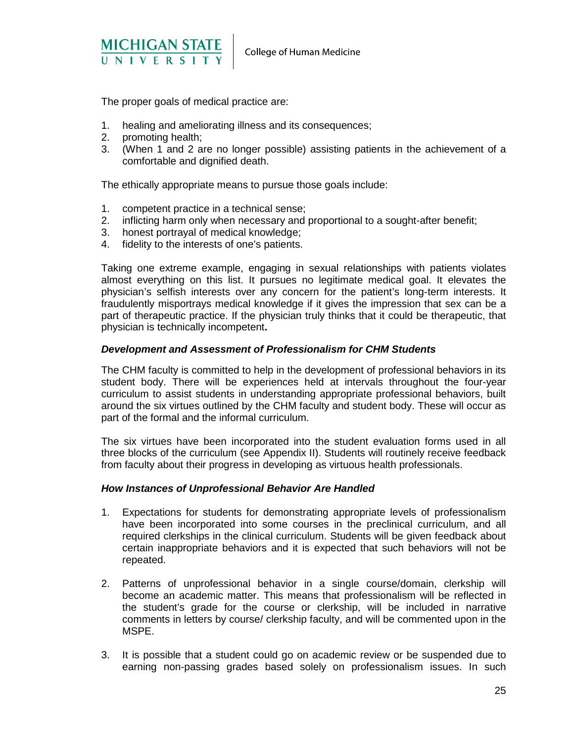

The proper goals of medical practice are:

- 1. healing and ameliorating illness and its consequences;
- 2. promoting health;
- 3. (When 1 and 2 are no longer possible) assisting patients in the achievement of a comfortable and dignified death.

The ethically appropriate means to pursue those goals include:

- 1. competent practice in a technical sense;
- 2. inflicting harm only when necessary and proportional to a sought-after benefit;
- 3. honest portrayal of medical knowledge;
- 4. fidelity to the interests of one's patients.

Taking one extreme example, engaging in sexual relationships with patients violates almost everything on this list. It pursues no legitimate medical goal. It elevates the physician's selfish interests over any concern for the patient's long-term interests. It fraudulently misportrays medical knowledge if it gives the impression that sex can be a part of therapeutic practice. If the physician truly thinks that it could be therapeutic, that physician is technically incompetent**.**

#### *Development and Assessment of Professionalism for CHM Students*

The CHM faculty is committed to help in the development of professional behaviors in its student body. There will be experiences held at intervals throughout the four-year curriculum to assist students in understanding appropriate professional behaviors, built around the six virtues outlined by the CHM faculty and student body. These will occur as part of the formal and the informal curriculum.

The six virtues have been incorporated into the student evaluation forms used in all three blocks of the curriculum (see Appendix II). Students will routinely receive feedback from faculty about their progress in developing as virtuous health professionals.

#### *How Instances of Unprofessional Behavior Are Handled*

- 1. Expectations for students for demonstrating appropriate levels of professionalism have been incorporated into some courses in the preclinical curriculum, and all required clerkships in the clinical curriculum. Students will be given feedback about certain inappropriate behaviors and it is expected that such behaviors will not be repeated.
- 2. Patterns of unprofessional behavior in a single course/domain, clerkship will become an academic matter. This means that professionalism will be reflected in the student's grade for the course or clerkship, will be included in narrative comments in letters by course/ clerkship faculty, and will be commented upon in the MSPE.
- 3. It is possible that a student could go on academic review or be suspended due to earning non-passing grades based solely on professionalism issues. In such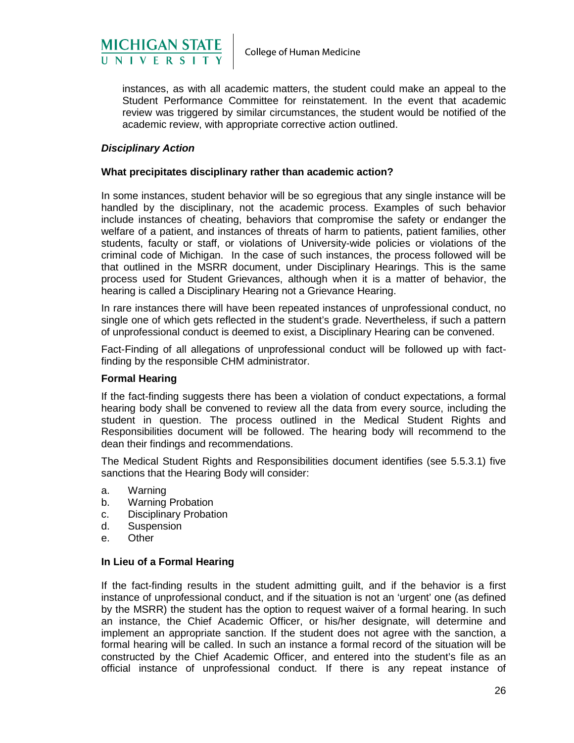

instances, as with all academic matters, the student could make an appeal to the Student Performance Committee for reinstatement. In the event that academic review was triggered by similar circumstances, the student would be notified of the academic review, with appropriate corrective action outlined.

#### *Disciplinary Action*

#### **What precipitates disciplinary rather than academic action?**

In some instances, student behavior will be so egregious that any single instance will be handled by the disciplinary, not the academic process. Examples of such behavior include instances of cheating, behaviors that compromise the safety or endanger the welfare of a patient, and instances of threats of harm to patients, patient families, other students, faculty or staff, or violations of University-wide policies or violations of the criminal code of Michigan. In the case of such instances, the process followed will be that outlined in the MSRR document, under Disciplinary Hearings. This is the same process used for Student Grievances, although when it is a matter of behavior, the hearing is called a Disciplinary Hearing not a Grievance Hearing.

In rare instances there will have been repeated instances of unprofessional conduct, no single one of which gets reflected in the student's grade. Nevertheless, if such a pattern of unprofessional conduct is deemed to exist, a Disciplinary Hearing can be convened.

Fact-Finding of all allegations of unprofessional conduct will be followed up with factfinding by the responsible CHM administrator.

#### **Formal Hearing**

If the fact-finding suggests there has been a violation of conduct expectations, a formal hearing body shall be convened to review all the data from every source, including the student in question. The process outlined in the Medical Student Rights and Responsibilities document will be followed. The hearing body will recommend to the dean their findings and recommendations.

The Medical Student Rights and Responsibilities document identifies (see 5.5.3.1) five sanctions that the Hearing Body will consider:

- a. Warning
- b. Warning Probation
- c. Disciplinary Probation
- d. Suspension
- e. Other

#### **In Lieu of a Formal Hearing**

If the fact-finding results in the student admitting guilt, and if the behavior is a first instance of unprofessional conduct, and if the situation is not an 'urgent' one (as defined by the MSRR) the student has the option to request waiver of a formal hearing. In such an instance, the Chief Academic Officer, or his/her designate, will determine and implement an appropriate sanction. If the student does not agree with the sanction, a formal hearing will be called. In such an instance a formal record of the situation will be constructed by the Chief Academic Officer, and entered into the student's file as an official instance of unprofessional conduct. If there is any repeat instance of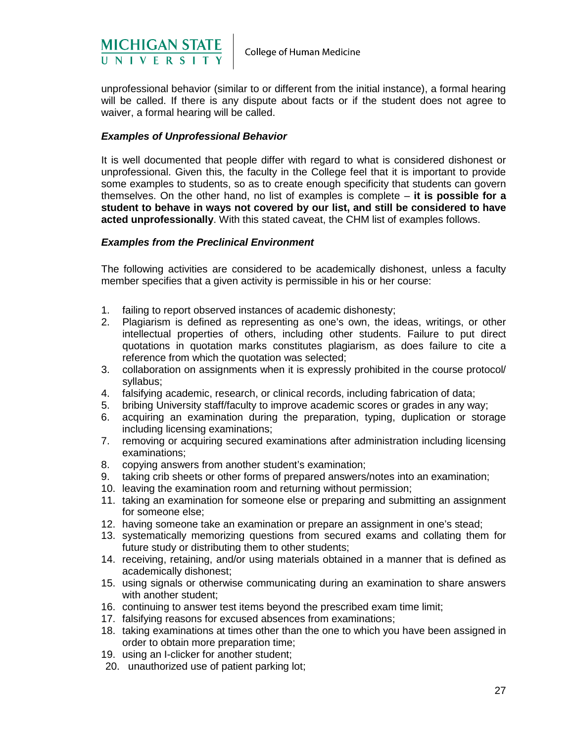

unprofessional behavior (similar to or different from the initial instance), a formal hearing will be called. If there is any dispute about facts or if the student does not agree to waiver, a formal hearing will be called.

#### *Examples of Unprofessional Behavior*

It is well documented that people differ with regard to what is considered dishonest or unprofessional. Given this, the faculty in the College feel that it is important to provide some examples to students, so as to create enough specificity that students can govern themselves. On the other hand, no list of examples is complete – **it is possible for a student to behave in ways not covered by our list, and still be considered to have acted unprofessionally**. With this stated caveat, the CHM list of examples follows.

#### *Examples from the Preclinical Environment*

The following activities are considered to be academically dishonest, unless a faculty member specifies that a given activity is permissible in his or her course:

- 1. failing to report observed instances of academic dishonesty;
- 2. Plagiarism is defined as representing as one's own, the ideas, writings, or other intellectual properties of others, including other students. Failure to put direct quotations in quotation marks constitutes plagiarism, as does failure to cite a reference from which the quotation was selected;
- 3. collaboration on assignments when it is expressly prohibited in the course protocol/ syllabus;
- 4. falsifying academic, research, or clinical records, including fabrication of data;
- 5. bribing University staff/faculty to improve academic scores or grades in any way;
- 6. acquiring an examination during the preparation, typing, duplication or storage including licensing examinations;
- 7. removing or acquiring secured examinations after administration including licensing examinations;
- 8. copying answers from another student's examination;
- 9. taking crib sheets or other forms of prepared answers/notes into an examination;
- 10. leaving the examination room and returning without permission;
- 11. taking an examination for someone else or preparing and submitting an assignment for someone else;
- 12. having someone take an examination or prepare an assignment in one's stead;
- 13. systematically memorizing questions from secured exams and collating them for future study or distributing them to other students;
- 14. receiving, retaining, and/or using materials obtained in a manner that is defined as academically dishonest;
- 15. using signals or otherwise communicating during an examination to share answers with another student;
- 16. continuing to answer test items beyond the prescribed exam time limit;
- 17. falsifying reasons for excused absences from examinations;
- 18. taking examinations at times other than the one to which you have been assigned in order to obtain more preparation time;
- 19. using an I-clicker for another student;
- 20. unauthorized use of patient parking lot;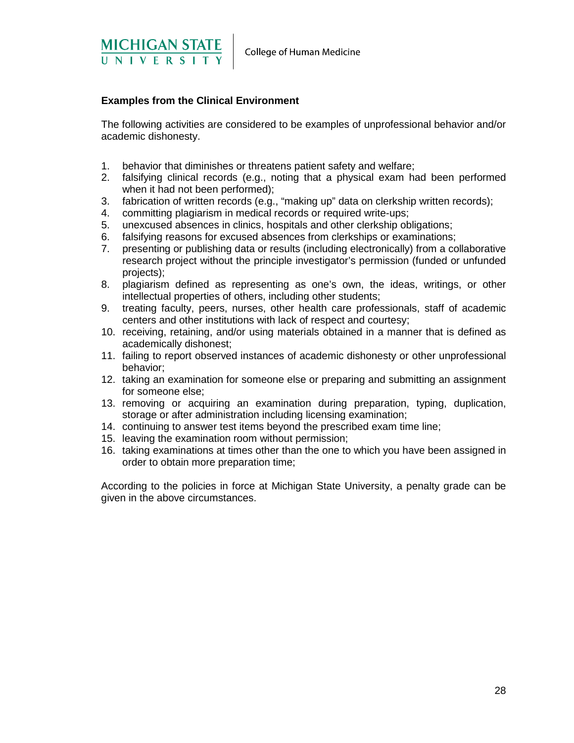

#### **Examples from the Clinical Environment**

The following activities are considered to be examples of unprofessional behavior and/or academic dishonesty.

- 1. behavior that diminishes or threatens patient safety and welfare;
- 2. falsifying clinical records (e.g., noting that a physical exam had been performed when it had not been performed);
- 3. fabrication of written records (e.g., "making up" data on clerkship written records);
- 4. committing plagiarism in medical records or required write-ups;
- 5. unexcused absences in clinics, hospitals and other clerkship obligations;
- 6. falsifying reasons for excused absences from clerkships or examinations;
- 7. presenting or publishing data or results (including electronically) from a collaborative research project without the principle investigator's permission (funded or unfunded projects);
- 8. plagiarism defined as representing as one's own, the ideas, writings, or other intellectual properties of others, including other students;
- 9. treating faculty, peers, nurses, other health care professionals, staff of academic centers and other institutions with lack of respect and courtesy;
- 10. receiving, retaining, and/or using materials obtained in a manner that is defined as academically dishonest;
- 11. failing to report observed instances of academic dishonesty or other unprofessional behavior;
- 12. taking an examination for someone else or preparing and submitting an assignment for someone else;
- 13. removing or acquiring an examination during preparation, typing, duplication, storage or after administration including licensing examination;
- 14. continuing to answer test items beyond the prescribed exam time line;
- 15. leaving the examination room without permission;
- 16. taking examinations at times other than the one to which you have been assigned in order to obtain more preparation time;

According to the policies in force at Michigan State University, a penalty grade can be given in the above circumstances.